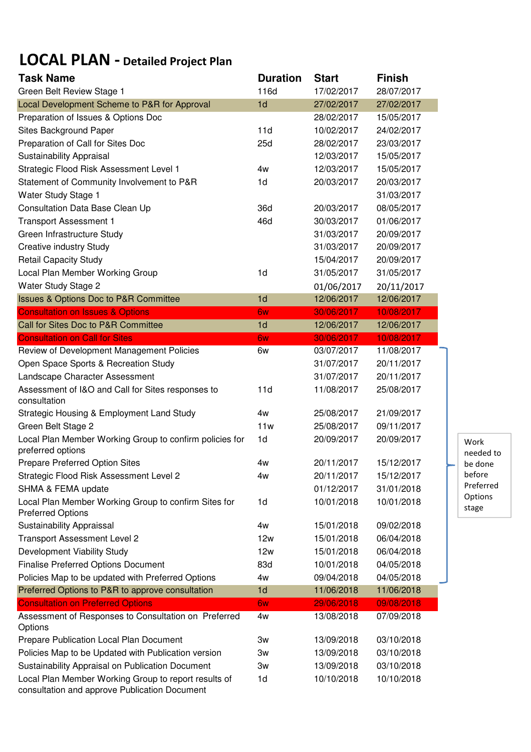## LOCAL PLAN - Detailed Project Plan

| <b>Task Name</b>                                                                                      | <b>Duration</b> | <b>Start</b> | <b>Finish</b> |                   |  |
|-------------------------------------------------------------------------------------------------------|-----------------|--------------|---------------|-------------------|--|
| Green Belt Review Stage 1                                                                             | 116d            | 17/02/2017   | 28/07/2017    |                   |  |
| Local Development Scheme to P&R for Approval                                                          | 1 <sub>d</sub>  | 27/02/2017   | 27/02/2017    |                   |  |
| Preparation of Issues & Options Doc                                                                   |                 | 28/02/2017   | 15/05/2017    |                   |  |
| Sites Background Paper                                                                                | 11d             | 10/02/2017   | 24/02/2017    |                   |  |
| Preparation of Call for Sites Doc                                                                     | 25d             | 28/02/2017   | 23/03/2017    |                   |  |
| Sustainability Appraisal                                                                              |                 | 12/03/2017   | 15/05/2017    |                   |  |
| Strategic Flood Risk Assessment Level 1                                                               | 4w              | 12/03/2017   | 15/05/2017    |                   |  |
| Statement of Community Involvement to P&R                                                             | 1 <sub>d</sub>  | 20/03/2017   | 20/03/2017    |                   |  |
| Water Study Stage 1                                                                                   |                 |              | 31/03/2017    |                   |  |
| Consultation Data Base Clean Up                                                                       | 36d             | 20/03/2017   | 08/05/2017    |                   |  |
| <b>Transport Assessment 1</b>                                                                         | 46d             | 30/03/2017   | 01/06/2017    |                   |  |
| Green Infrastructure Study                                                                            |                 | 31/03/2017   | 20/09/2017    |                   |  |
| <b>Creative industry Study</b>                                                                        |                 | 31/03/2017   | 20/09/2017    |                   |  |
| <b>Retail Capacity Study</b>                                                                          |                 | 15/04/2017   | 20/09/2017    |                   |  |
| Local Plan Member Working Group                                                                       | 1 <sub>d</sub>  | 31/05/2017   | 31/05/2017    |                   |  |
| Water Study Stage 2                                                                                   |                 | 01/06/2017   | 20/11/2017    |                   |  |
| <b>Issues &amp; Options Doc to P&amp;R Committee</b>                                                  | 1 <sub>d</sub>  | 12/06/2017   | 12/06/2017    |                   |  |
| <b>Consultation on Issues &amp; Options</b>                                                           | 6w              | 30/06/2017   | 10/08/2017    |                   |  |
| Call for Sites Doc to P&R Committee                                                                   | 1 <sub>d</sub>  | 12/06/2017   | 12/06/2017    |                   |  |
| <b>Consultation on Call for Sites</b>                                                                 | 6w              | 30/06/2017   | 10/08/2017    |                   |  |
| Review of Development Management Policies                                                             | 6w              | 03/07/2017   | 11/08/2017    |                   |  |
| Open Space Sports & Recreation Study                                                                  |                 | 31/07/2017   | 20/11/2017    |                   |  |
| Landscape Character Assessment                                                                        |                 | 31/07/2017   | 20/11/2017    |                   |  |
| Assessment of I&O and Call for Sites responses to<br>consultation                                     | 11d             | 11/08/2017   | 25/08/2017    |                   |  |
| Strategic Housing & Employment Land Study                                                             | 4w              | 25/08/2017   | 21/09/2017    |                   |  |
| Green Belt Stage 2                                                                                    | 11w             | 25/08/2017   | 09/11/2017    |                   |  |
| Local Plan Member Working Group to confirm policies for<br>preferred options                          | 1 <sub>d</sub>  | 20/09/2017   | 20/09/2017    | Work<br>needed to |  |
| Prepare Preferred Option Sites                                                                        | 4w              | 20/11/2017   | 15/12/2017    | be done           |  |
| Strategic Flood Risk Assessment Level 2                                                               | 4w              | 20/11/2017   | 15/12/2017    | before            |  |
| SHMA & FEMA update                                                                                    |                 | 01/12/2017   | 31/01/2018    | Preferred         |  |
| Local Plan Member Working Group to confirm Sites for<br><b>Preferred Options</b>                      | 1 <sub>d</sub>  | 10/01/2018   | 10/01/2018    | Options<br>stage  |  |
| Sustainability Appraissal                                                                             | 4w              | 15/01/2018   | 09/02/2018    |                   |  |
| <b>Transport Assessment Level 2</b>                                                                   | 12w             | 15/01/2018   | 06/04/2018    |                   |  |
| Development Viability Study                                                                           | 12w             | 15/01/2018   | 06/04/2018    |                   |  |
| <b>Finalise Preferred Options Document</b>                                                            | 83d             | 10/01/2018   | 04/05/2018    |                   |  |
| Policies Map to be updated with Preferred Options                                                     | 4w              | 09/04/2018   | 04/05/2018    |                   |  |
| Preferred Options to P&R to approve consultation                                                      | 1 <sub>d</sub>  | 11/06/2018   | 11/06/2018    |                   |  |
| <b>Consultation on Preferred Options</b>                                                              | 6w              | 29/06/2018   | 09/08/2018    |                   |  |
| Assessment of Responses to Consultation on Preferred<br>Options                                       | 4w              | 13/08/2018   | 07/09/2018    |                   |  |
| Prepare Publication Local Plan Document                                                               | 3w              | 13/09/2018   | 03/10/2018    |                   |  |
| Policies Map to be Updated with Publication version                                                   | Зw              | 13/09/2018   | 03/10/2018    |                   |  |
| Sustainability Appraisal on Publication Document                                                      | 3w              | 13/09/2018   | 03/10/2018    |                   |  |
| Local Plan Member Working Group to report results of<br>consultation and approve Publication Document | 1d              | 10/10/2018   | 10/10/2018    |                   |  |